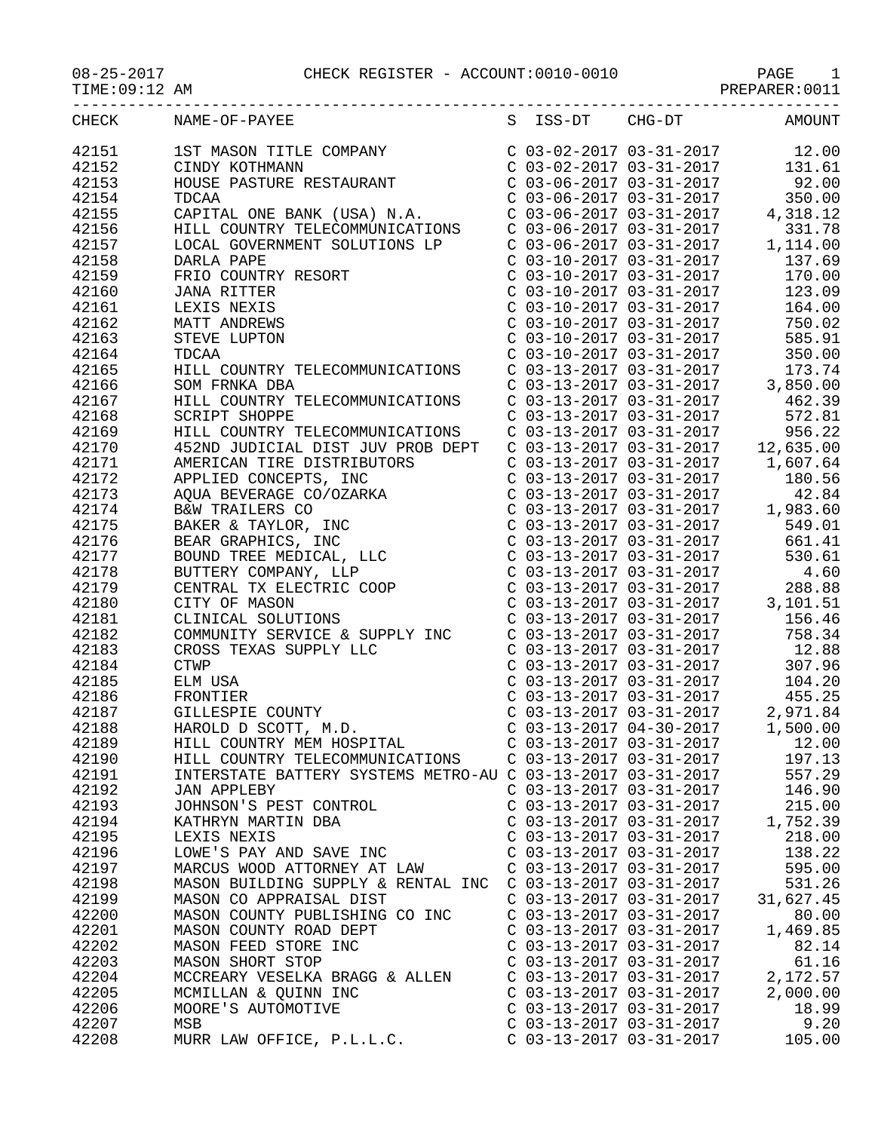|                |                                                                                                                                                                                                                                                                                                                                                                  |                           | TIMITIMUM OOTT                                                                                                                                                                            |
|----------------|------------------------------------------------------------------------------------------------------------------------------------------------------------------------------------------------------------------------------------------------------------------------------------------------------------------------------------------------------------------|---------------------------|-------------------------------------------------------------------------------------------------------------------------------------------------------------------------------------------|
| <b>CHECK</b>   | NAME-OF-PAYEE                                                                                                                                                                                                                                                                                                                                                    |                           | S ISS-DT CHG-DT AMOUNT                                                                                                                                                                    |
| 42151          | 1ST MASON TITLE COMPANY<br>C 03-02-2017 03-31-2017<br>C 03-02-2017 03-31-2017<br>C 03-06-2017 03-31-2017<br>C 03-06-2017 03-31-2017<br>PDCA<br>C 03-06-2017 03-31-2017<br>C 03-06-2017 03-31-2017<br>PDCA                                                                                                                                                        |                           |                                                                                                                                                                                           |
| 42152          |                                                                                                                                                                                                                                                                                                                                                                  |                           |                                                                                                                                                                                           |
| 42153          |                                                                                                                                                                                                                                                                                                                                                                  |                           |                                                                                                                                                                                           |
| 42154          | <b>TDCAA</b>                                                                                                                                                                                                                                                                                                                                                     | $C$ 03-06-2017 03-31-2017 | 350.00                                                                                                                                                                                    |
| 42155          | CAPITAL ONE BANK (USA) N.A.<br>C 03-06-2017 03-31-2017<br>HILL COUNTRY TELECOMMUNICATIONS<br>LOCAL GOVERNMENT SOLUTIONS LP<br>DARLA PAPE<br>C 03-06-2017 03-31-2017<br>C 03-10-2017 03-31-2017<br>C 03-10-2017 03-31-2017<br>C 03-10-2017 03-3                                                                                                                   |                           |                                                                                                                                                                                           |
| 42156          |                                                                                                                                                                                                                                                                                                                                                                  |                           |                                                                                                                                                                                           |
| 42157          |                                                                                                                                                                                                                                                                                                                                                                  |                           |                                                                                                                                                                                           |
|                |                                                                                                                                                                                                                                                                                                                                                                  |                           |                                                                                                                                                                                           |
| 42158<br>42159 |                                                                                                                                                                                                                                                                                                                                                                  |                           |                                                                                                                                                                                           |
|                |                                                                                                                                                                                                                                                                                                                                                                  |                           |                                                                                                                                                                                           |
| 42160          | <b>JANA RITTER</b>                                                                                                                                                                                                                                                                                                                                               |                           | $C$ 03-10-2017 03-31-2017 123.09                                                                                                                                                          |
| 42161          | RESORT<br>LEXIS NEXIS                                                                                                                                                                                                                                                                                                                                            |                           | C 03-10-2017 03-31-2017<br>C 03-10-2017 03-31-2017 164.00<br>C 03-10-2017 03-31-2017 750.02<br>C 03-10-2017 03-31-2017 585.91<br>C 03-10-2017 03-31-2017 350.00                           |
| 42162          | MATT ANDREWS                                                                                                                                                                                                                                                                                                                                                     |                           |                                                                                                                                                                                           |
| 42163          | STEVE LUPTON                                                                                                                                                                                                                                                                                                                                                     |                           |                                                                                                                                                                                           |
| 42164          | TDCAA                                                                                                                                                                                                                                                                                                                                                            |                           |                                                                                                                                                                                           |
| 42165          | HILL COUNTRY TELECOMMUNICATIONS C 03-13-2017 03-31-2017 173.74                                                                                                                                                                                                                                                                                                   |                           |                                                                                                                                                                                           |
| 42166          | SOM FRNKA DBA                                                                                                                                                                                                                                                                                                                                                    |                           |                                                                                                                                                                                           |
| 42167          | HILL COUNTRY TELECOMMUNICATIONS                                                                                                                                                                                                                                                                                                                                  |                           |                                                                                                                                                                                           |
| 42168          | <b>SCRIPT SHOPPE</b>                                                                                                                                                                                                                                                                                                                                             |                           | $C$ 03-13-2017 03-31-2017<br>$C$ 03-13-2017 03-31-2017<br>$C$ 03-13-2017 03-31-2017<br>$C$ 03-13-2017 03-31-2017<br>$C$ 03-13-2017 03-31-2017<br>$C$ 03-13-2017 03-31-2017<br>$D = 56.22$ |
| 42169          | HILL COUNTRY TELECOMMUNICATIONS                                                                                                                                                                                                                                                                                                                                  |                           |                                                                                                                                                                                           |
| 42170          |                                                                                                                                                                                                                                                                                                                                                                  |                           |                                                                                                                                                                                           |
| 42171          |                                                                                                                                                                                                                                                                                                                                                                  |                           |                                                                                                                                                                                           |
| 42172          |                                                                                                                                                                                                                                                                                                                                                                  |                           |                                                                                                                                                                                           |
| 42173          |                                                                                                                                                                                                                                                                                                                                                                  |                           |                                                                                                                                                                                           |
| 42174          |                                                                                                                                                                                                                                                                                                                                                                  |                           |                                                                                                                                                                                           |
| 42175          |                                                                                                                                                                                                                                                                                                                                                                  |                           |                                                                                                                                                                                           |
| 42176          |                                                                                                                                                                                                                                                                                                                                                                  |                           |                                                                                                                                                                                           |
| 42177          |                                                                                                                                                                                                                                                                                                                                                                  |                           |                                                                                                                                                                                           |
| 42178          |                                                                                                                                                                                                                                                                                                                                                                  |                           |                                                                                                                                                                                           |
| 42179          |                                                                                                                                                                                                                                                                                                                                                                  |                           |                                                                                                                                                                                           |
| 42180          |                                                                                                                                                                                                                                                                                                                                                                  |                           |                                                                                                                                                                                           |
| 42181          |                                                                                                                                                                                                                                                                                                                                                                  |                           |                                                                                                                                                                                           |
| 42182          |                                                                                                                                                                                                                                                                                                                                                                  |                           |                                                                                                                                                                                           |
| 42183          |                                                                                                                                                                                                                                                                                                                                                                  |                           |                                                                                                                                                                                           |
| 42184          |                                                                                                                                                                                                                                                                                                                                                                  |                           |                                                                                                                                                                                           |
| 42185          | COMMUNITY SERVICE & SUPPLY INC<br>COMMUNITY SERVICE & SUPPLY INC<br>COMS TEXAS SUPPLY LLC<br>COMENTIFY CONTINUE CONTROLLY CONTROLLY 12.88<br>CONTIER<br>CONTIER<br>CONTIER<br>CONTIER<br>CONTIER<br>CONTIER<br>CONTIER<br>CONTIER<br>CONTIER<br>CONTIER<br><br>CROSS TEXAS SUPPLY LLC<br>CTWP<br>ELM USA<br>FRONTIER<br>GILLESPIE COUNTY<br>HAROLD D SCOTT, M.D. |                           |                                                                                                                                                                                           |
| 42186          | FRONTIER                                                                                                                                                                                                                                                                                                                                                         |                           |                                                                                                                                                                                           |
| 42187          |                                                                                                                                                                                                                                                                                                                                                                  |                           | $C$ 03-13-2017 03-31-2017 2,971.84                                                                                                                                                        |
| 42188          |                                                                                                                                                                                                                                                                                                                                                                  | $C$ 03-13-2017 04-30-2017 | 1,500.00                                                                                                                                                                                  |
| 42189          | HILL COUNTRY MEM HOSPITAL                                                                                                                                                                                                                                                                                                                                        | C 03-13-2017 03-31-2017   | 12.00                                                                                                                                                                                     |
| 42190          | HILL COUNTRY TELECOMMUNICATIONS                                                                                                                                                                                                                                                                                                                                  | $C$ 03-13-2017 03-31-2017 | 197.13                                                                                                                                                                                    |
| 42191          | INTERSTATE BATTERY SYSTEMS METRO-AU C 03-13-2017 03-31-2017                                                                                                                                                                                                                                                                                                      |                           | 557.29                                                                                                                                                                                    |
| 42192          | <b>JAN APPLEBY</b>                                                                                                                                                                                                                                                                                                                                               | $C$ 03-13-2017 03-31-2017 | 146.90                                                                                                                                                                                    |
| 42193          | JOHNSON'S PEST CONTROL                                                                                                                                                                                                                                                                                                                                           | $C$ 03-13-2017 03-31-2017 | 215.00                                                                                                                                                                                    |
| 42194          | KATHRYN MARTIN DBA                                                                                                                                                                                                                                                                                                                                               | $C$ 03-13-2017 03-31-2017 | 1,752.39                                                                                                                                                                                  |
| 42195          | LEXIS NEXIS                                                                                                                                                                                                                                                                                                                                                      | C 03-13-2017 03-31-2017   | 218.00                                                                                                                                                                                    |
| 42196          | LOWE'S PAY AND SAVE INC                                                                                                                                                                                                                                                                                                                                          | $C$ 03-13-2017 03-31-2017 | 138.22                                                                                                                                                                                    |
| 42197          | MARCUS WOOD ATTORNEY AT LAW                                                                                                                                                                                                                                                                                                                                      | C 03-13-2017 03-31-2017   | 595.00                                                                                                                                                                                    |
| 42198          | MASON BUILDING SUPPLY & RENTAL INC                                                                                                                                                                                                                                                                                                                               | C 03-13-2017 03-31-2017   | 531.26                                                                                                                                                                                    |
| 42199          | MASON CO APPRAISAL DIST                                                                                                                                                                                                                                                                                                                                          | C 03-13-2017 03-31-2017   | 31,627.45                                                                                                                                                                                 |
| 42200          | MASON COUNTY PUBLISHING CO INC                                                                                                                                                                                                                                                                                                                                   | C 03-13-2017 03-31-2017   | 80.00                                                                                                                                                                                     |
| 42201          | MASON COUNTY ROAD DEPT                                                                                                                                                                                                                                                                                                                                           | C 03-13-2017 03-31-2017   | 1,469.85                                                                                                                                                                                  |
| 42202          | MASON FEED STORE INC                                                                                                                                                                                                                                                                                                                                             | C 03-13-2017 03-31-2017   | 82.14                                                                                                                                                                                     |
| 42203          |                                                                                                                                                                                                                                                                                                                                                                  |                           |                                                                                                                                                                                           |
|                | MASON SHORT STOP                                                                                                                                                                                                                                                                                                                                                 | $C$ 03-13-2017 03-31-2017 | 61.16                                                                                                                                                                                     |
| 42204          | MCCREARY VESELKA BRAGG & ALLEN                                                                                                                                                                                                                                                                                                                                   | C 03-13-2017 03-31-2017   | 2,172.57                                                                                                                                                                                  |
| 42205          | MCMILLAN & QUINN INC                                                                                                                                                                                                                                                                                                                                             | C 03-13-2017 03-31-2017   | 2,000.00                                                                                                                                                                                  |
| 42206          | MOORE'S AUTOMOTIVE                                                                                                                                                                                                                                                                                                                                               | C 03-13-2017 03-31-2017   | 18.99                                                                                                                                                                                     |
| 42207          | MSB                                                                                                                                                                                                                                                                                                                                                              | C 03-13-2017 03-31-2017   | 9.20                                                                                                                                                                                      |

42208 MURR LAW OFFICE, P.L.L.C. C 03-13-2017 03-31-2017 105.00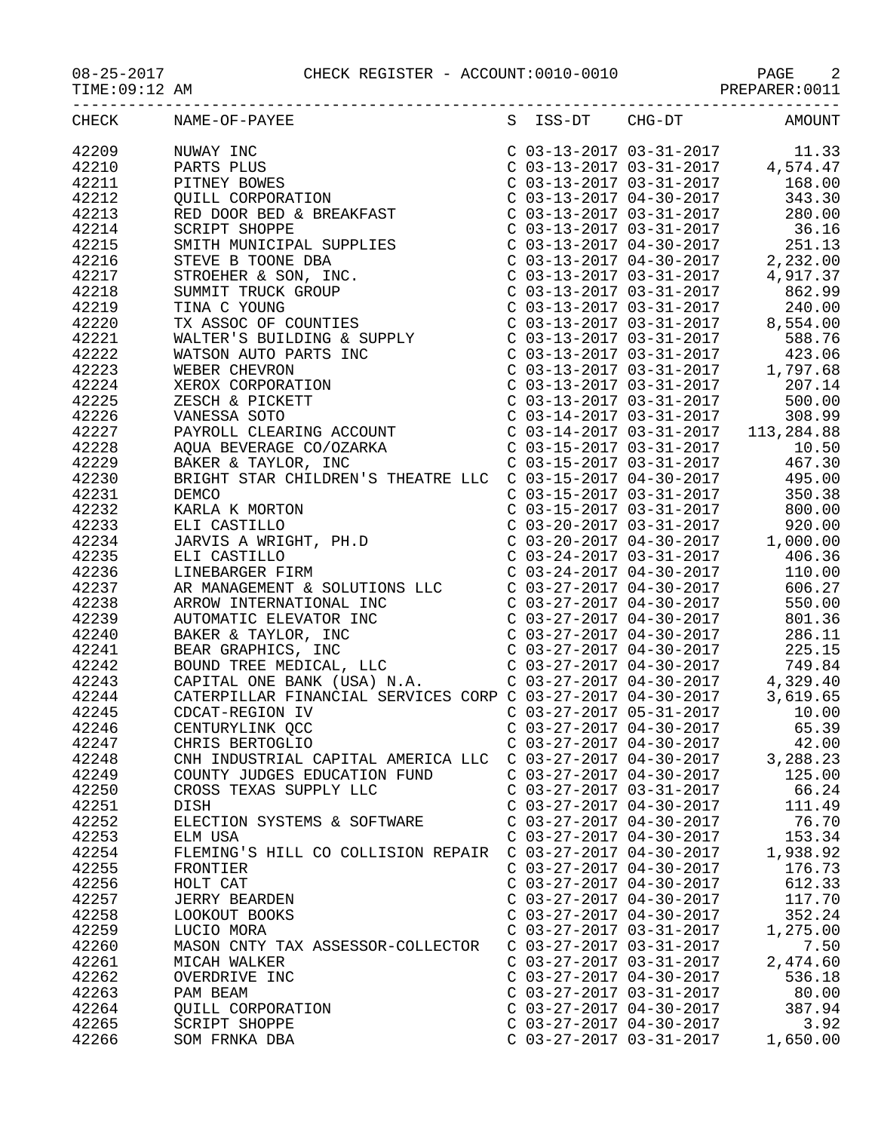## 08-25-2017 CHECK REGISTER - ACCOUNT:0010-0010 PAGE 2

PAGE<br>PREPARER:0011<br>--------

| CHECK | NAME-OF-PAYEE                      |                           |                           | S ISS-DT CHG-DT AMOUNT |
|-------|------------------------------------|---------------------------|---------------------------|------------------------|
|       |                                    |                           |                           |                        |
|       |                                    |                           |                           |                        |
|       |                                    |                           |                           |                        |
|       |                                    |                           |                           |                        |
|       |                                    |                           |                           |                        |
|       |                                    |                           |                           |                        |
|       |                                    |                           |                           |                        |
|       |                                    |                           |                           |                        |
|       |                                    |                           |                           |                        |
|       |                                    |                           |                           |                        |
|       |                                    |                           |                           |                        |
|       |                                    |                           |                           |                        |
|       |                                    |                           |                           |                        |
|       |                                    |                           |                           |                        |
|       |                                    |                           |                           |                        |
|       |                                    |                           |                           |                        |
|       |                                    |                           |                           |                        |
|       |                                    |                           |                           |                        |
|       |                                    |                           |                           |                        |
|       |                                    |                           |                           |                        |
|       |                                    |                           |                           |                        |
|       |                                    |                           |                           |                        |
|       |                                    |                           |                           |                        |
|       |                                    |                           |                           |                        |
|       |                                    |                           |                           |                        |
|       |                                    |                           |                           |                        |
|       |                                    |                           |                           |                        |
|       |                                    |                           |                           |                        |
|       |                                    |                           |                           |                        |
|       |                                    |                           |                           |                        |
|       |                                    |                           |                           |                        |
|       |                                    |                           |                           |                        |
|       |                                    |                           |                           |                        |
|       |                                    |                           |                           |                        |
|       |                                    |                           |                           |                        |
|       |                                    |                           |                           |                        |
|       |                                    |                           |                           |                        |
|       |                                    |                           |                           |                        |
|       |                                    |                           |                           |                        |
|       |                                    |                           |                           |                        |
|       |                                    |                           |                           |                        |
|       |                                    |                           |                           |                        |
| 42247 | CHRIS BERTOGLIO                    |                           | $C$ 03-27-2017 04-30-2017 | 42.00                  |
| 42248 | CNH INDUSTRIAL CAPITAL AMERICA LLC | C 03-27-2017 04-30-2017   |                           | 3,288.23               |
| 42249 | COUNTY JUDGES EDUCATION FUND       | $C$ 03-27-2017 04-30-2017 |                           | 125.00                 |
| 42250 | CROSS TEXAS SUPPLY LLC             | $C$ 03-27-2017 03-31-2017 |                           | 66.24                  |
| 42251 | <b>DISH</b>                        | $C$ 03-27-2017 04-30-2017 |                           | 111.49                 |
| 42252 | ELECTION SYSTEMS & SOFTWARE        | C 03-27-2017 04-30-2017   |                           | 76.70                  |
| 42253 | ELM USA                            | C 03-27-2017 04-30-2017   |                           | 153.34                 |
|       |                                    |                           |                           |                        |
| 42254 | FLEMING'S HILL CO COLLISION REPAIR | $C$ 03-27-2017 04-30-2017 |                           | 1,938.92               |
| 42255 | FRONTIER                           | $C$ 03-27-2017 04-30-2017 |                           | 176.73                 |
| 42256 | HOLT CAT                           | $C$ 03-27-2017 04-30-2017 |                           | 612.33                 |
| 42257 | <b>JERRY BEARDEN</b>               | $C$ 03-27-2017 04-30-2017 |                           | 117.70                 |
| 42258 | LOOKOUT BOOKS                      | $C$ 03-27-2017 04-30-2017 |                           | 352.24                 |
| 42259 | LUCIO MORA                         | C 03-27-2017 03-31-2017   |                           | 1,275.00               |
| 42260 | MASON CNTY TAX ASSESSOR-COLLECTOR  | C 03-27-2017 03-31-2017   |                           | 7.50                   |
| 42261 | MICAH WALKER                       | $C$ 03-27-2017 03-31-2017 |                           | 2,474.60               |
| 42262 | OVERDRIVE INC                      | C 03-27-2017 04-30-2017   |                           | 536.18                 |
| 42263 | PAM BEAM                           | C 03-27-2017 03-31-2017   |                           | 80.00                  |
| 42264 | QUILL CORPORATION                  | C 03-27-2017 04-30-2017   |                           | 387.94                 |
| 42265 |                                    | C 03-27-2017 04-30-2017   |                           | 3.92                   |
|       | <b>SCRIPT SHOPPE</b>               |                           |                           |                        |
| 42266 | SOM FRNKA DBA                      | $C$ 03-27-2017 03-31-2017 |                           | 1,650.00               |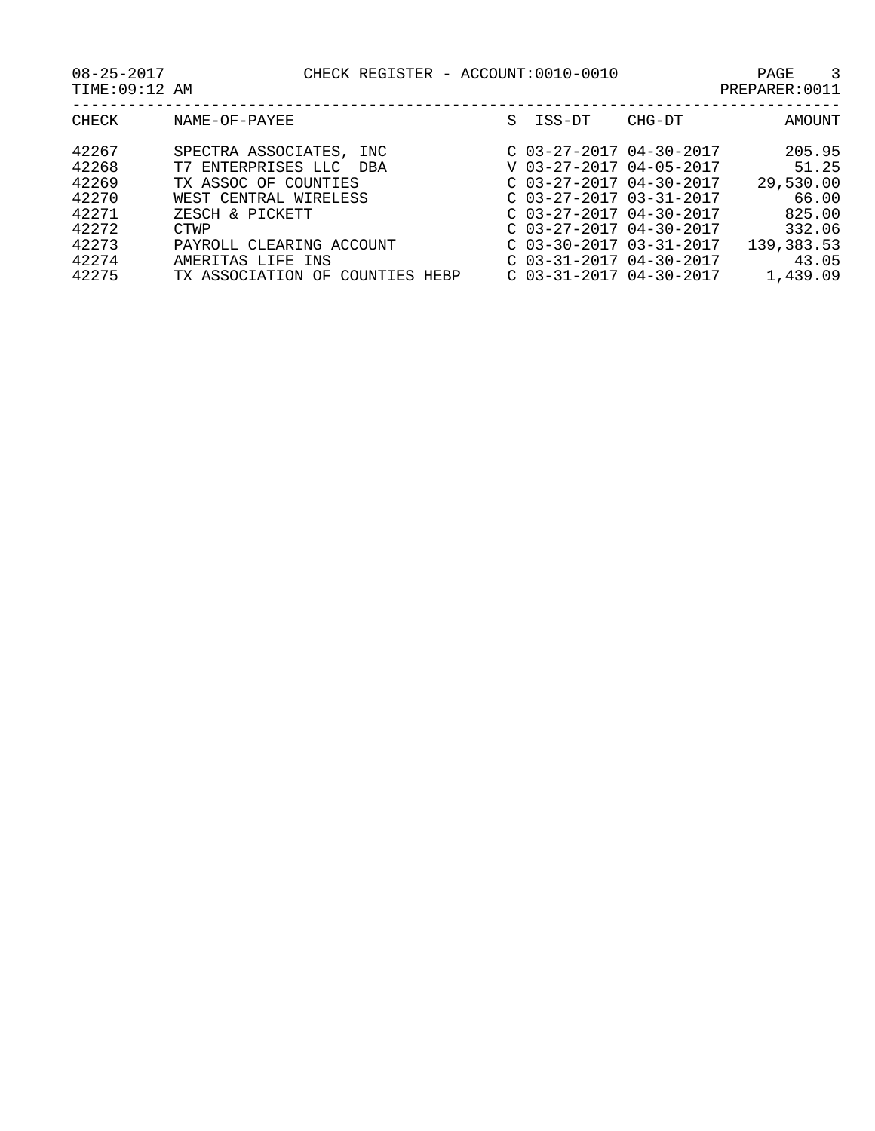08-25-2017 CHECK REGISTER - ACCOUNT:0010-0010 PAGE 3

| CHECK | NAME-OF-PAYEE                   | S. | ISS-DT                    | CHG-DT | AMOUNT     |
|-------|---------------------------------|----|---------------------------|--------|------------|
| 42267 | SPECTRA ASSOCIATES, INC         |    | $C$ 03-27-2017 04-30-2017 |        | 205.95     |
| 42268 | T7 ENTERPRISES LLC DBA          |    | V 03-27-2017 04-05-2017   |        | 51.25      |
| 42269 | TX ASSOC OF COUNTIES            |    | $C$ 03-27-2017 04-30-2017 |        | 29,530.00  |
| 42270 | WEST CENTRAL WIRELESS           |    | $C$ 03-27-2017 03-31-2017 |        | 66.00      |
| 42271 | ZESCH & PICKETT                 |    | $C$ 03-27-2017 04-30-2017 |        | 825.00     |
| 42272 | CTWP                            |    | $C$ 03-27-2017 04-30-2017 |        | 332.06     |
| 42273 | PAYROLL CLEARING ACCOUNT        |    | C 03-30-2017 03-31-2017   |        | 139,383.53 |
| 42274 | AMERITAS LIFE INS               |    | $C$ 03-31-2017 04-30-2017 |        | 43.05      |
| 42275 | TX ASSOCIATION OF COUNTIES HEBP |    | $C$ 03-31-2017 04-30-2017 |        | 1,439.09   |
|       |                                 |    |                           |        |            |